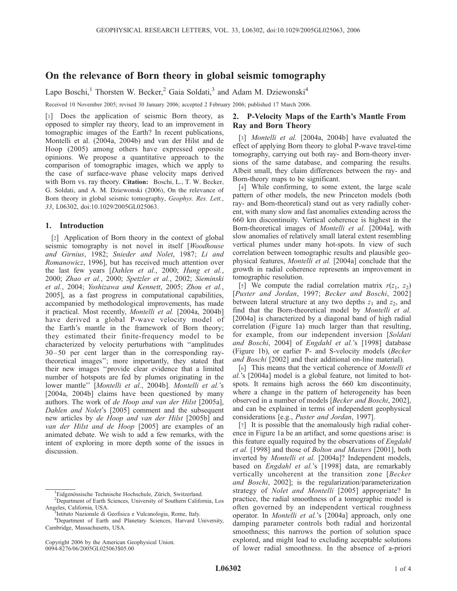# On the relevance of Born theory in global seismic tomography

Lapo Boschi,<sup>1</sup> Thorsten W. Becker,<sup>2</sup> Gaia Soldati,<sup>3</sup> and Adam M. Dziewonski<sup>4</sup>

Received 10 November 2005; revised 30 January 2006; accepted 2 February 2006; published 17 March 2006.

[1] Does the application of seismic Born theory, as opposed to simpler ray theory, lead to an improvement in tomographic images of the Earth? In recent publications, Montelli et al. (2004a, 2004b) and van der Hilst and de Hoop (2005) among others have expressed opposite opinions. We propose a quantitative approach to the comparison of tomographic images, which we apply to the case of surface-wave phase velocity maps derived with Born vs. ray theory. Citation: Boschi, L., T. W. Becker, G. Soldati, and A. M. Dziewonski (2006), On the relevance of Born theory in global seismic tomography, Geophys. Res. Lett., 33, L06302, doi:10.1029/2005GL025063.

## 1. Introduction

[2] Application of Born theory in the context of global seismic tomography is not novel in itself [Woodhouse and Girnius, 1982; Snieder and Nolet, 1987; Li and Romanowicz, 1996], but has received much attention over the last few years [Dahlen et al., 2000; Hung et al., 2000; Zhao et al., 2000; Spetzler et al., 2002; Sieminski et al., 2004; Yoshizawa and Kennett, 2005; Zhou et al., 2005], as a fast progress in computational capabilities, accompanied by methodological improvements, has made it practical. Most recently, Montelli et al. [2004a, 2004b] have derived a global P-wave velocity model of the Earth's mantle in the framework of Born theory; they estimated their finite-frequency model to be characterized by velocity perturbations with ''amplitudes 30– 50 per cent larger than in the corresponding raytheoretical images''; more importantly, they stated that their new images ''provide clear evidence that a limited number of hotspots are fed by plumes originating in the lower mantle" [Montelli et al., 2004b]. Montelli et al.'s [2004a, 2004b] claims have been questioned by many authors. The work of de Hoop and van der Hilst [2005a], Dahlen and Nolet's [2005] comment and the subsequent new articles by de Hoop and van der Hilst [2005b] and van der Hilst and de Hoop [2005] are examples of an animated debate. We wish to add a few remarks, with the intent of exploring in more depth some of the issues in discussion.

# 2. P-Velocity Maps of the Earth's Mantle From Ray and Born Theory

[3] *Montelli et al.* [2004a, 2004b] have evaluated the effect of applying Born theory to global P-wave travel-time tomography, carrying out both ray- and Born-theory inversions of the same database, and comparing the results. Albeit small, they claim differences between the ray- and Born-theory maps to be significant.

[4] While confirming, to some extent, the large scale pattern of other models, the new Princeton models (both ray- and Born-theoretical) stand out as very radially coherent, with many slow and fast anomalies extending across the 660 km discontinuity. Vertical coherence is highest in the Born-theoretical images of Montelli et al. [2004a], with slow anomalies of relatively small lateral extent resembling vertical plumes under many hot-spots. In view of such correlation between tomographic results and plausible geophysical features, Montelli et al. [2004a] conclude that the growth in radial coherence represents an improvement in tomographic resolution.

[5] We compute the radial correlation matrix  $r(z_1, z_2)$ [Puster and Jordan, 1997; Becker and Boschi, 2002] between lateral structure at any two depths  $z_1$  and  $z_2$ , and find that the Born-theoretical model by Montelli et al. [2004a] is characterized by a diagonal band of high radial correlation (Figure 1a) much larger than that resulting, for example, from our independent inversion [Soldati] and Boschi, 2004] of Engdahl et al.'s [1998] database (Figure 1b), or earlier P- and S-velocity models (Becker and Boschi [2002] and their additional on-line material).

[6] This means that the vertical coherence of Montelli et al.'s [2004a] model is a global feature, not limited to hotspots. It remains high across the 660 km discontinuity, where a change in the pattern of heterogeneity has been observed in a number of models [Becker and Boschi, 2002], and can be explained in terms of independent geophysical considerations [e.g., Puster and Jordan, 1997].

[7] It is possible that the anomalously high radial coherence in Figure 1a be an artifact, and some questions arise: is this feature equally required by the observations of *Engdahl* et al. [1998] and those of Bolton and Masters [2001], both inverted by Montelli et al. [2004a]? Independent models, based on *Engdahl et al.*'s [1998] data, are remarkably vertically uncoherent at the transition zone [Becker and Boschi, 2002]; is the regularization/parameterization strategy of Nolet and Montelli [2005] appropriate? In practice, the radial smoothness of a tomographic model is often governed by an independent vertical roughness operator. In Montelli et al.'s [2004a] approach, only one damping parameter controls both radial and horizontal smoothness; this narrows the portion of solution space explored, and might lead to excluding acceptable solutions of lower radial smoothness. In the absence of a-priori

<sup>&</sup>lt;sup>1</sup>Eidgenössische Technische Hochschule, Zürich, Switzerland.<br><sup>2</sup>Department of Forth Sciences, University of Southern Celifor

<sup>&</sup>lt;sup>2</sup>Department of Earth Sciences, University of Southern California, Los Angeles, California, USA. <sup>3</sup>

<sup>&</sup>lt;sup>3</sup>Istituto Nazionale di Geofisica e Vulcanologia, Rome, Italy.

<sup>4</sup> Department of Earth and Planetary Sciences, Harvard University, Cambridge, Massachusetts, USA.

Copyright 2006 by the American Geophysical Union. 0094-8276/06/2005GL025063\$05.00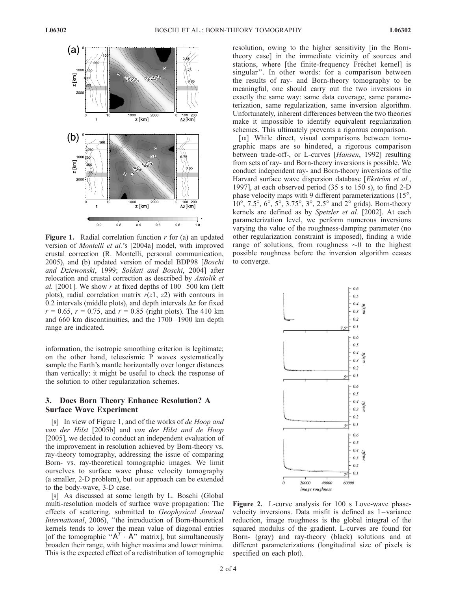

**Figure 1.** Radial correlation function  $r$  for (a) an updated version of Montelli et al.'s [2004a] model, with improved crustal correction (R. Montelli, personal communication, 2005), and (b) updated version of model BDP98 [Boschi and Dziewonski, 1999; Soldati and Boschi, 2004] after relocation and crustal correction as described by Antolik et al. [2001]. We show r at fixed depths of  $100-500$  km (left) plots), radial correlation matrix  $r(z)$ ,  $z(z)$  with contours in 0.2 intervals (middle plots), and depth intervals  $\Delta z$  for fixed  $r = 0.65$ ,  $r = 0.75$ , and  $r = 0.85$  (right plots). The 410 km and 660 km discontinuities, and the 1700– 1900 km depth range are indicated.

information, the isotropic smoothing criterion is legitimate; on the other hand, teleseismic P waves systematically sample the Earth's mantle horizontally over longer distances than vertically: it might be useful to check the response of the solution to other regularization schemes.

## 3. Does Born Theory Enhance Resolution? A Surface Wave Experiment

[8] In view of Figure 1, and of the works of *de Hoop and* van der Hilst [2005b] and van der Hilst and de Hoop [2005], we decided to conduct an independent evaluation of the improvement in resolution achieved by Born-theory vs. ray-theory tomography, addressing the issue of comparing Born- vs. ray-theoretical tomographic images. We limit ourselves to surface wave phase velocity tomography (a smaller, 2-D problem), but our approach can be extended to the body-wave, 3-D case.

[9] As discussed at some length by L. Boschi (Global multi-resolution models of surface wave propagation: The effects of scattering, submitted to Geophysical Journal International, 2006), ''the introduction of Born-theoretical kernels tends to lower the mean value of diagonal entries [of the tomographic " $A^T \cdot A$ " matrix], but simultaneously broaden their range, with higher maxima and lower minima. This is the expected effect of a redistribution of tomographic

resolution, owing to the higher sensitivity [in the Borntheory case] in the immediate vicinity of sources and stations, where [the finite-frequency Fréchet kernel] is singular''. In other words: for a comparison between the results of ray- and Born-theory tomography to be meaningful, one should carry out the two inversions in exactly the same way: same data coverage, same parameterization, same regularization, same inversion algorithm. Unfortunately, inherent differences between the two theories make it impossible to identify equivalent regularization schemes. This ultimately prevents a rigorous comparison.

[10] While direct, visual comparisons between tomographic maps are so hindered, a rigorous comparison between trade-off-, or L-curves [Hansen, 1992] resulting from sets of ray- and Born-theory inversions is possible. We conduct independent ray- and Born-theory inversions of the Harvard surface wave dispersion database [Ekström et al., 1997], at each observed period (35 s to 150 s), to find 2-D phase velocity maps with 9 different parameterizations  $(15^{\circ},$  $10^{\circ}$ ,  $7.5^{\circ}$ ,  $6^{\circ}$ ,  $5^{\circ}$ ,  $3.75^{\circ}$ ,  $3^{\circ}$ ,  $2.5^{\circ}$  and  $2^{\circ}$  grids). Born-theory kernels are defined as by Spetzler et al. [2002]. At each parameterization level, we perform numerous inversions varying the value of the roughness-damping parameter (no other regularization constraint is imposed), finding a wide range of solutions, from roughness  $\sim$ 0 to the highest possible roughness before the inversion algorithm ceases to converge.



Figure 2. L-curve analysis for 100 s Love-wave phasevelocity inversions. Data misfit is defined as 1 – variance reduction, image roughness is the global integral of the squared modulus of the gradient. L-curves are found for Born- (gray) and ray-theory (black) solutions and at different parameterizations (longitudinal size of pixels is specified on each plot).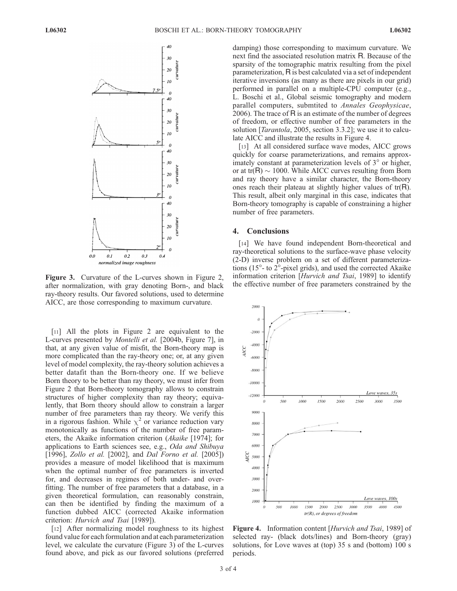

after normalization, with gray denoting Born-, and black ray-theory results. Our favored solutions, used to determine AICC, are those corresponding to maximum curvature.

[11] All the plots in Figure 2 are equivalent to the L-curves presented by Montelli et al. [2004b, Figure 7], in that, at any given value of misfit, the Born-theory map is more complicated than the ray-theory one; or, at any given level of model complexity, the ray-theory solution achieves a better datafit than the Born-theory one. If we believe Born theory to be better than ray theory, we must infer from Figure 2 that Born-theory tomography allows to constrain structures of higher complexity than ray theory; equivalently, that Born theory should allow to constrain a larger number of free parameters than ray theory. We verify this in a rigorous fashion. While  $\chi^2$  or variance reduction vary monotonically as functions of the number of free parameters, the Akaike information criterion (Akaike [1974]; for applications to Earth sciences see, e.g., Oda and Shibuya [1996], *Zollo et al.* [2002], and *Dal Forno et al.* [2005]) provides a measure of model likelihood that is maximum when the optimal number of free parameters is inverted for, and decreases in regimes of both under- and overfitting. The number of free parameters that a database, in a given theoretical formulation, can reasonably constrain, can then be identified by finding the maximum of a function dubbed AICC (corrected Akaike information criterion: Hurvich and Tsai [1989]).

[12] After normalizing model roughness to its highest found value for each formulation and at each parameterization level, we calculate the curvature (Figure 3) of the L-curves found above, and pick as our favored solutions (preferred damping) those corresponding to maximum curvature. We next find the associated resolution matrix R. Because of the sparsity of the tomographic matrix resulting from the pixel parameterization, R is best calculated via a set of independent iterative inversions (as many as there are pixels in our grid) performed in parallel on a multiple-CPU computer (e.g., L. Boschi et al., Global seismic tomography and modern parallel computers, submtited to Annales Geophysicae, 2006). The trace of R is an estimate of the number of degrees of freedom, or effective number of free parameters in the solution [*Tarantola*, 2005, section 3.3.2]; we use it to calculate AICC and illustrate the results in Figure 4.

[13] At all considered surface wave modes, AICC grows quickly for coarse parameterizations, and remains approximately constant at parameterization levels of  $3^\circ$  or higher, or at  $tr(R) \sim 1000$ . While AICC curves resulting from Born and ray theory have a similar character, the Born-theory ones reach their plateau at slightly higher values of tr(R). This result, albeit only marginal in this case, indicates that Born-theory tomography is capable of constraining a higher number of free parameters.

#### 4. Conclusions

[14] We have found independent Born-theoretical and ray-theoretical solutions to the surface-wave phase velocity (2-D) inverse problem on a set of different parameterizations ( $15^{\circ}$ - to  $2^{\circ}$ -pixel grids), and used the corrected Akaike information criterion [Hurvich and Tsai, 1989] to identify **Figure 3.** Curvature of the L-curves shown in Figure 2, information criterion [*Hurvich and Isai*, 1989] to identify after normalization, with gray denoting Born- and black the effective number of free parameters constrai



Figure 4. Information content [Hurvich and Tsai, 1989] of selected ray- (black dots/lines) and Born-theory (gray) solutions, for Love waves at (top) 35 s and (bottom) 100 s periods.